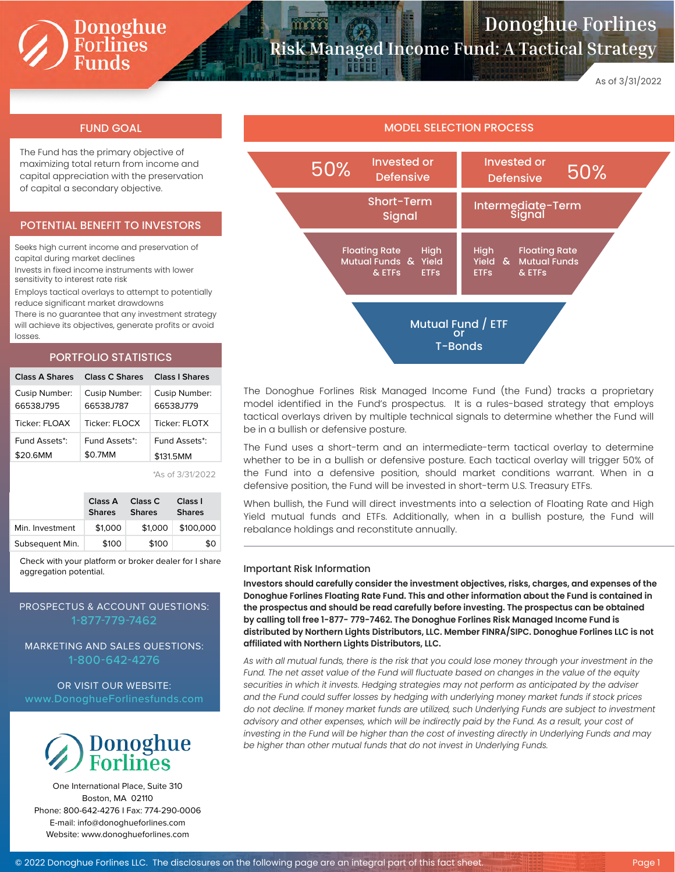# Donoghue<br>Forlines<br>Funds

## **Donoghue Forlines Risk Managed Income Fund: A Tactical Strategy**

As of 3/31/2022

The Fund has the primary objective of maximizing total return from income and capital appreciation with the preservation of capital a secondary objective.

#### POTENTIAL BENEFIT TO INVESTORS

Seeks high current income and preservation of capital during market declines

Invests in fixed income instruments with lower sensitivity to interest rate risk

Employs tactical overlays to attempt to potentially reduce significant market drawdowns

There is no guarantee that any investment strategy will achieve its objectives, generate profits or avoid losses.

#### PORTFOLIO STATISTICS

| Class A Shares | Class C Shares | Class L Shares |
|----------------|----------------|----------------|
| Cusip Number:  | Cusip Number:  | Cusip Number:  |
| 66538J795      | 66538J787      | 66538.1779     |
| Ticker: FLOAX  | Ticker: FLOCX  | Ticker: FLOTX  |
| Fund Assets*:  | Fund Assets*:  | Fund Assets*:  |
| \$20.6MM       | \$0.7MM        | \$131.5MM      |

\*As of 3/31/2022

|                 | Class A<br><b>Shares</b> | Class C<br><b>Shares</b> | Class I<br><b>Shares</b> |  |
|-----------------|--------------------------|--------------------------|--------------------------|--|
| Min. Investment | \$1,000                  |                          | $$1,000$ \$100,000       |  |
| Subsequent Min. | \$100                    | \$100                    | \$0                      |  |

Check with your platform or broker dealer for I share aggregation potential.

### PROSPECTUS & ACCOUNT QUESTIONS: 1-877-779-7462

MARKETING AND SALES QUESTIONS: 1-800-642-4276

OR VISIT OUR WEBSITE:



One International Place, Suite 310 Boston, MA 02110 Phone: 800-642-4276 I Fax: 774-290-0006 E-mail: info@donoghueforlines.com Website: www.donoghueforlines.com



The Donoghue Forlines Risk Managed Income Fund (the Fund) tracks a proprietary model identified in the Fund's prospectus. It is a rules-based strategy that employs tactical overlays driven by multiple technical signals to determine whether the Fund will be in a bullish or defensive posture.

The Fund uses a short-term and an intermediate-term tactical overlay to determine whether to be in a bullish or defensive posture. Each tactical overlay will trigger 50% of the Fund into a defensive position, should market conditions warrant. When in a defensive position, the Fund will be invested in short-term U.S. Treasury ETFs.

When bullish, the Fund will direct investments into a selection of Floating Rate and High Yield mutual funds and ETFs. Additionally, when in a bullish posture, the Fund will rebalance holdings and reconstitute annually.

#### Important Risk Information

**Investors should carefully consider the investment objectives, risks, charges, and expenses of the Donoghue Forlines Floating Rate Fund. This and other information about the Fund is contained in the prospectus and should be read carefully before investing. The prospectus can be obtained by calling toll free 1-877- 779-7462. The Donoghue Forlines Risk Managed Income Fund is distributed by Northern Lights Distributors, LLC. Member FINRA/SIPC. Donoghue Forlines LLC is not affiliated with Northern Lights Distributors, LLC.**

*As with all mutual funds, there is the risk that you could lose money through your investment in the Fund. The net asset value of the Fund will fluctuate based on changes in the value of the equity securities in which it invests. Hedging strategies may not perform as anticipated by the adviser and the Fund could suffer losses by hedging with underlying money market funds if stock prices do not decline. If money market funds are utilized, such Underlying Funds are subject to investment advisory and other expenses, which will be indirectly paid by the Fund. As a result, your cost of investing in the Fund will be higher than the cost of investing directly in Underlying Funds and may be higher than other mutual funds that do not invest in Underlying Funds.*